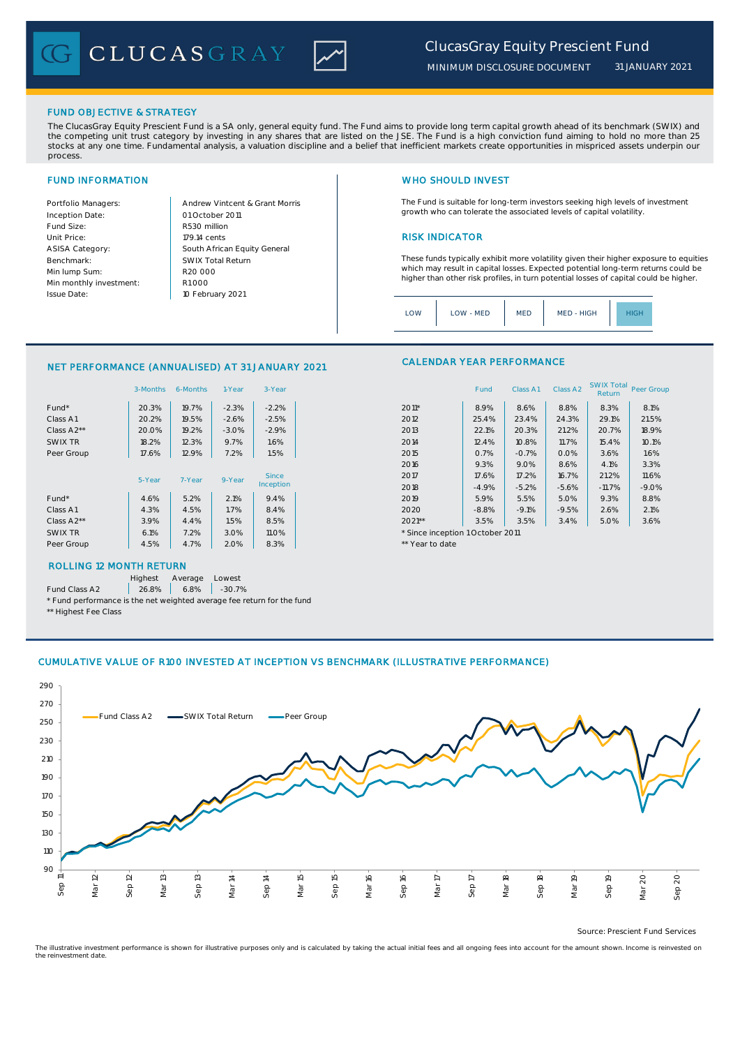CLUCASGRAY



*31 JANUARY 2021*

## FUND OBJECTIVE & STRATEGY

The ClucasGray Equity Prescient Fund is a SA only, general equity fund. The Fund aims to provide long term capital growth ahead of its benchmark (SWIX) and<br>the competing unit trust category by investing in any shares that stocks at any one time. Fundamental analysis, a valuation discipline and a belief that inefficient markets create opportunities in mispriced assets underpin our process.

Inception Date: Fund Size: R530 million ASISA Category: Benchmark: Min lump Sum: Min monthly investment: Issue Date:

Portfolio Managers: <br>Andrew Vintcent & Grant Morris Unit Price: 179.14 cents 2008 179.14 cents South African Equity General 179.14 cents R1 000 01 October 2011 10 February 2021 R20 000 SWIX Total Return

# FUND INFORMATION NETWORK IN THE SERVICE OF THE SERVICE OF THE WHO SHOULD INVEST

The Fund is suitable for long-term investors seeking high levels of investment growth who can tolerate the associated levels of capital volatility.

These funds typically exhibit more volatility given their higher exposure to equities which may result in capital losses. Expected potential long-term returns could be higher than other risk profiles, in turn potential losses of capital could be higher.

Class A1 Class A2 SWIX Total Peer Group

| MED - HIGH<br>LOW<br>LOW - MED<br><b>MED</b><br>IGF |
|-----------------------------------------------------|
|-----------------------------------------------------|

CALENDAR YEAR PERFORMANCE

### NET PERFORMANCE (ANNUALISED) AT 31 JANUARY 2021

|            | 3-Months | 6-Months | 1-Year  | 3-Year       |                                  | Fund    | Class A1 | Class A <sub>2</sub> | <b>SWIX Total</b><br>Return | Peer Gro |
|------------|----------|----------|---------|--------------|----------------------------------|---------|----------|----------------------|-----------------------------|----------|
| Fund*      | 20.3%    | 19.7%    | $-2.3%$ | $-2.2%$      | $2011*$                          | 8.9%    | 8.6%     | 8.8%                 | 8.3%                        | 8.1%     |
| Class A1   | 20.2%    | 19.5%    | $-2.6%$ | $-2.5%$      | 2012                             | 25.4%   | 23.4%    | 24.3%                | 29.1%                       | 21.5%    |
| Class A2** | 20.0%    | 19.2%    | $-3.0%$ | $-2.9%$      | 2013                             | 22.1%   | 20.3%    | 21.2%                | 20.7%                       | 18.9%    |
| SWIX TR    | 18.2%    | 12.3%    | 9.7%    | 1.6%         | 2014                             | 12.4%   | 10.8%    | 11.7%                | 15.4%                       | 10.1%    |
| Peer Group | 17.6%    | 12.9%    | 7.2%    | 1.5%         | 2015                             | 0.7%    | $-0.7%$  | 0.0%                 | 3.6%                        | 1.6%     |
|            |          |          |         |              | 2016                             | 9.3%    | 9.0%     | 8.6%                 | 4.1%                        | 3.3%     |
|            | 5-Year   | 7-Year   | 9-Year  | Since        | 2017                             | 17.6%   | 17.2%    | 16.7%                | 21.2%                       | 11.6%    |
|            |          |          |         | Inception    | 2018                             | $-4.9%$ | $-5.2%$  | $-5.6%$              | $-11.7%$                    | $-9.0%$  |
| Fund*      | 4.6%     | 5.2%     | 2.1%    | 9.4%         | 2019                             | 5.9%    | 5.5%     | 5.0%                 | 9.3%                        | 8.8%     |
| Class A1   | 4.3%     | 4.5%     | 1.7%    | 8.4%         | 2020                             | $-8.8%$ | $-9.1%$  | $-9.5%$              | 2.6%                        | 2.1%     |
| Class A2** | 3.9%     | 4.4%     | 1.5%    | 8.5%         | $2021**$                         | 3.5%    | 3.5%     | 3.4%                 | 5.0%                        | 3.6%     |
| SWIX TR    | 6.1%     | 7.2%     | 3.0%    | <b>11.0%</b> | * Since inception 1 October 2011 |         |          |                      |                             |          |
| Peer Group | 4.5%     | 4.7%     | 2.0%    | 8.3%         | ** Year to date                  |         |          |                      |                             |          |
|            |          |          |         |              |                                  |         |          |                      |                             |          |

## ROLLING 12 MONTH RETURN

Highest Average Lowest

Fund Class A2 26.8% 6.8% -30.7%

\* Fund performance is the net weighted average fee return for the fund \*\* Highest Fee Class

## CUMULATIVE VALUE OF R100 INVESTED AT INCEPTION VS BENCHMARK (ILLUSTRATIVE PERFORMANCE)



Source: Prescient Fund Services

The illustrative investment performance is shown for illustrative purposes only and is calculated by taking the actual initial fees and all ongoing fees into account for the amount shown. Income is reinvested on the reinvestment date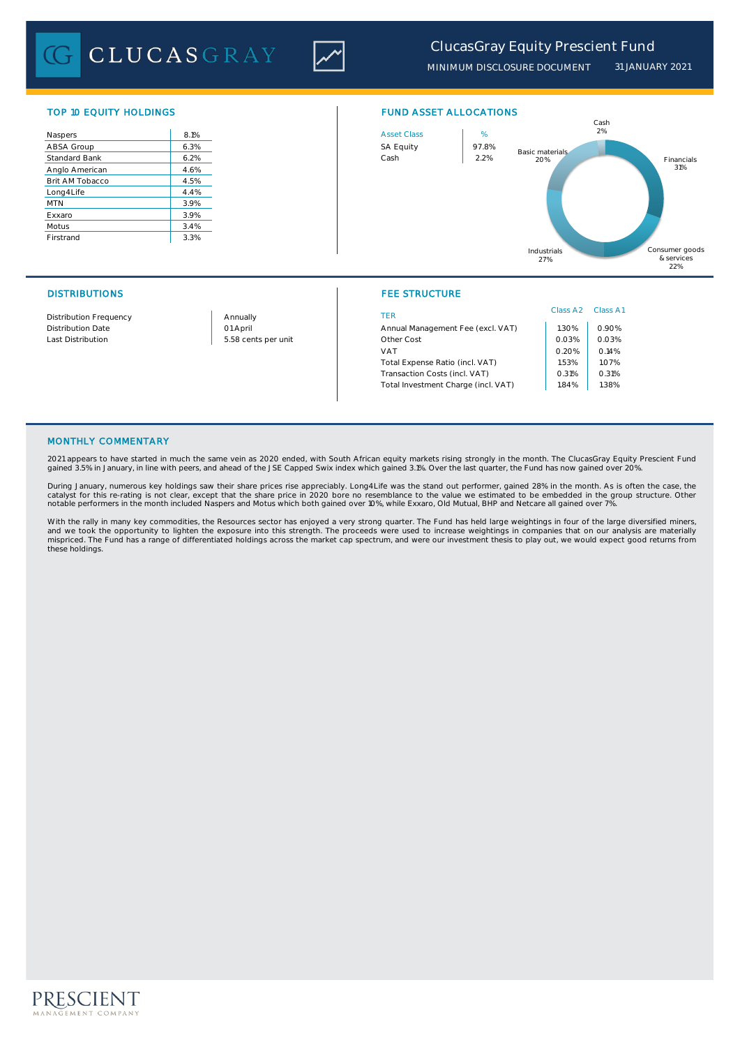CLUCASGRAY



*MINIMUM DISCLOSURE DOCUMENT 31 JANUARY 2021*

| Naspers              | 8.1% |
|----------------------|------|
| ABSA Group           | 6.3% |
| <b>Standard Bank</b> | 6.2% |
| Anglo American       | 4.6% |
| Brit AM Tobacco      | 4.5% |
| Long4Life            | 4.4% |
| <b>MTN</b>           | 3.9% |
| Exxaro               | 3.9% |
| Motus                | 3.4% |
| Firstrand            | 3.3% |



## DISTRIBUTIONS FEE STRUCTURE

|                               |                     |                                     | Class A <sub>2</sub> | Class A1 |  |
|-------------------------------|---------------------|-------------------------------------|----------------------|----------|--|
| <b>Distribution Frequency</b> | Annually            | TER                                 |                      |          |  |
| <b>Distribution Date</b>      | 01 April            | Annual Management Fee (excl. VAT)   | 1.30%                | 0.90%    |  |
| Last Distribution             | 5.58 cents per unit | Other Cost                          | 0.03%                | 0.03%    |  |
|                               |                     | VAT                                 | 0.20%                | 0.14%    |  |
|                               |                     | Total Expense Ratio (incl. VAT)     | .53%                 | 1.07%    |  |
|                               |                     | Transaction Costs (incl. VAT)       | 0.31%                | 0.31%    |  |
|                               |                     | Total Investment Charge (incl. VAT) | .84%                 | 1.38%    |  |
|                               |                     |                                     |                      |          |  |

# MONTHLY COMMENTARY

2021 appears to have started in much the same vein as 2020 ended, with South African equity markets rising strongly in the month. The ClucasGray Equity Prescient Fund gained 3.5% in January, in line with peers, and ahead of the JSE Capped Swix index which gained 3.1%. Over the last quarter, the Fund has now gained over 20%.

During January, numerous key holdings saw their share prices rise appreciably. Long4Life was the stand out performer, gained 28% in the month. As is often the case, the catalyst for this re-rating is not clear, except that the share price in 2020 bore no resemblance to the value we estimated to be embedded in the group structure. Other notable performers in the month included Naspers and Motus which both gained over 10%, while Exxaro, Old Mutual, BHP and Netcare all gained over 7%.

With the rally in many key commodities, the Resources sector has enjoyed a very strong quarter. The Fund has held large weightings in four of the large diversified miners<br>and we took the opportunity to lighten the exposure these holdings.